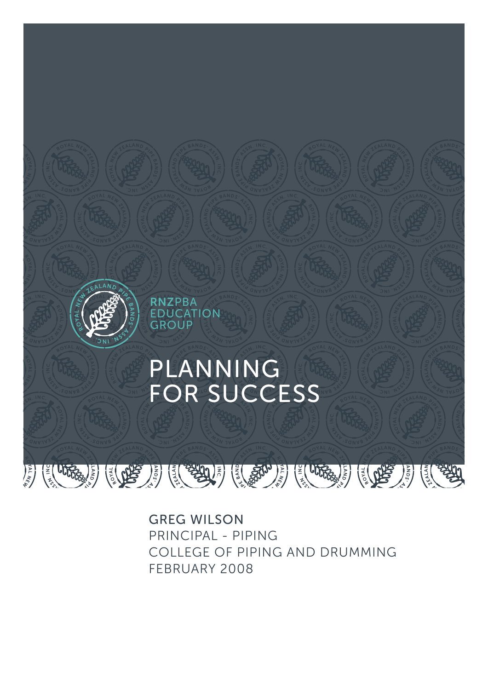

GREG WILSON PRINCIPAL - PIPING COLLEGE OF PIPING AND DRUMMING FEBRUARY 2008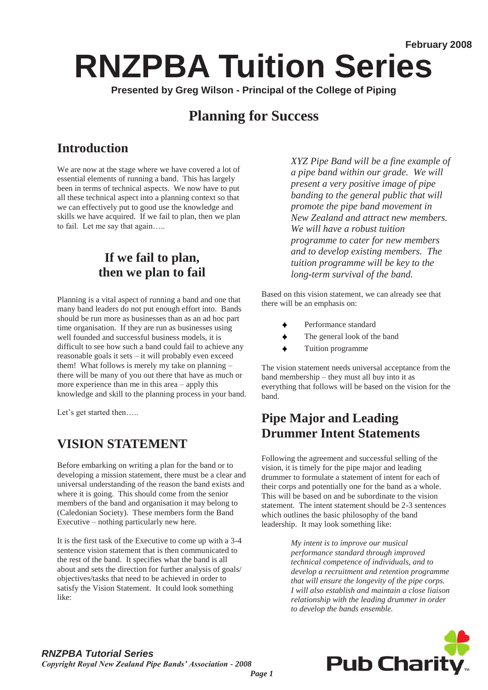# **RNZPBA Tuition Series**

**Presented by Greg Wilson - Principal of the College of Piping** 

## **Planning for Success**

## **Introduction**

We are now at the stage where we have covered a lot of essential elements of running a band. This has largely been in terms of technical aspects. We now have to put all these technical aspect into a planning context so that we can effectively put to good use the knowledge and skills we have acquired. If we fail to plan, then we plan to fail. Let me say that again…..

#### **If we fail to plan, then we plan to fail**

Planning is a vital aspect of running a band and one that many band leaders do not put enough effort into. Bands should be run more as businesses than as an ad hoc part time organisation. If they are run as businesses using well founded and successful business models, it is difficult to see how such a band could fail to achieve any reasonable goals it sets – it will probably even exceed them! What follows is merely my take on planning – there will be many of you out there that have as much or more experience than me in this area – apply this knowledge and skill to the planning process in your band.

Let's get started then.....

#### **VISION STATEMENT**

Before embarking on writing a plan for the band or to developing a mission statement, there must be a clear and universal understanding of the reason the band exists and where it is going. This should come from the senior members of the band and organisation it may belong to (Caledonian Society). These members form the Band Executive – nothing particularly new here.

It is the first task of the Executive to come up with a 3-4 sentence vision statement that is then communicated to the rest of the band. It specifies what the band is all about and sets the direction for further analysis of goals/ objectives/tasks that need to be achieved in order to satisfy the Vision Statement. It could look something like:

*XYZ Pipe Band will be a fine example of a pipe band within our grade. We will present a very positive image of pipe banding to the general public that will promote the pipe band movement in New Zealand and attract new members. We will have a robust tuition programme to cater for new members and to develop existing members. The tuition programme will be key to the long-term survival of the band.* 

Based on this vision statement, we can already see that there will be an emphasis on:

- Performance standard
- The general look of the band
- Tuition programme

The vision statement needs universal acceptance from the band membership – they must all buy into it as everything that follows will be based on the vision for the band.

#### **Pipe Major and Leading Drummer Intent Statements**

Following the agreement and successful selling of the vision, it is timely for the pipe major and leading drummer to formulate a statement of intent for each of their corps and potentially one for the band as a whole. This will be based on and be subordinate to the vision statement. The intent statement should be 2-3 sentences which outlines the basic philosophy of the band leadership. It may look something like:

> *My intent is to improve our musical performance standard through improved technical competence of individuals, and to develop a recruitment and retention programme that will ensure the longevity of the pipe corps. I will also establish and maintain a close liaison relationship with the leading drummer in order to develop the bands ensemble.*

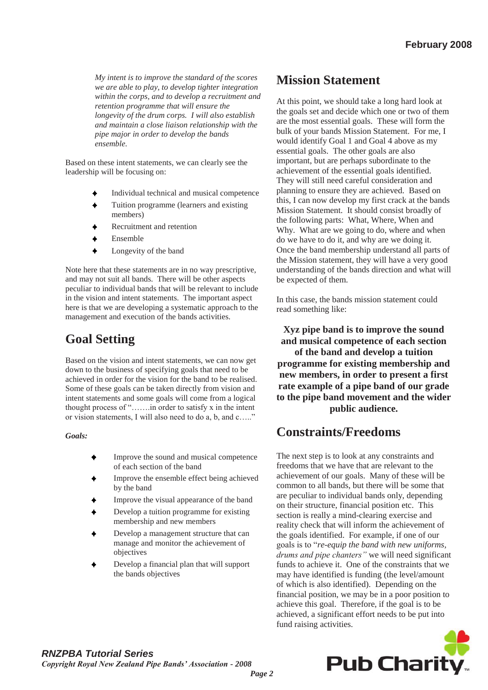*My intent is to improve the standard of the scores we are able to play, to develop tighter integration within the corps, and to develop a recruitment and retention programme that will ensure the longevity of the drum corps. I will also establish and maintain a close liaison relationship with the pipe major in order to develop the bands ensemble.* 

Based on these intent statements, we can clearly see the leadership will be focusing on:

- Individual technical and musical competence
- Tuition programme (learners and existing members)
- Recruitment and retention
- Ensemble
- Longevity of the band

Note here that these statements are in no way prescriptive, and may not suit all bands. There will be other aspects peculiar to individual bands that will be relevant to include in the vision and intent statements. The important aspect here is that we are developing a systematic approach to the management and execution of the bands activities.

### **Goal Setting**

Based on the vision and intent statements, we can now get down to the business of specifying goals that need to be achieved in order for the vision for the band to be realised. Some of these goals can be taken directly from vision and intent statements and some goals will come from a logical thought process of "…….in order to satisfy x in the intent or vision statements, I will also need to do a, b, and c….."

#### *Goals:*

- Improve the sound and musical competence of each section of the band
- Improve the ensemble effect being achieved by the band
- Improve the visual appearance of the band
- Develop a tuition programme for existing membership and new members
- Develop a management structure that can manage and monitor the achievement of objectives
- Develop a financial plan that will support the bands objectives

## **Mission Statement**

At this point, we should take a long hard look at the goals set and decide which one or two of them are the most essential goals. These will form the bulk of your bands Mission Statement. For me, I would identify Goal 1 and Goal 4 above as my essential goals. The other goals are also important, but are perhaps subordinate to the achievement of the essential goals identified. They will still need careful consideration and planning to ensure they are achieved. Based on this, I can now develop my first crack at the bands Mission Statement. It should consist broadly of the following parts: What, Where, When and Why. What are we going to do, where and when do we have to do it, and why are we doing it. Once the band membership understand all parts of the Mission statement, they will have a very good understanding of the bands direction and what will be expected of them.

In this case, the bands mission statement could read something like:

**Xyz pipe band is to improve the sound and musical competence of each section of the band and develop a tuition programme for existing membership and new members, in order to present a first rate example of a pipe band of our grade to the pipe band movement and the wider public audience.**

#### **Constraints/Freedoms**

The next step is to look at any constraints and freedoms that we have that are relevant to the achievement of our goals. Many of these will be common to all bands, but there will be some that are peculiar to individual bands only, depending on their structure, financial position etc. This section is really a mind-clearing exercise and reality check that will inform the achievement of the goals identified. For example, if one of our goals is to "*re-equip the band with new uniforms, drums and pipe chanters"* we will need significant funds to achieve it. One of the constraints that we may have identified is funding (the level/amount of which is also identified). Depending on the financial position, we may be in a poor position to achieve this goal. Therefore, if the goal is to be achieved, a significant effort needs to be put into fund raising activities.

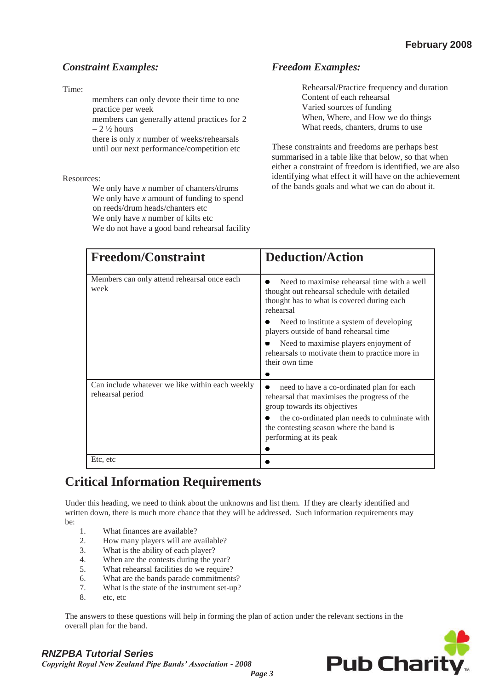#### *Constraint Examples:*

Time:

members can only devote their time to one practice per week

members can generally attend practices for 2  $-2\frac{1}{2}$  hours

there is only *x* number of weeks/rehearsals until our next performance/competition etc

Resources:

We only have *x* number of chanters/drums We only have *x* amount of funding to spend on reeds/drum heads/chanters etc We only have *x* number of kilts etc We do not have a good band rehearsal facility

#### *Freedom Examples:*

Rehearsal/Practice frequency and duration Content of each rehearsal Varied sources of funding When, Where, and How we do things What reeds, chanters, drums to use

These constraints and freedoms are perhaps best summarised in a table like that below, so that when either a constraint of freedom is identified, we are also identifying what effect it will have on the achievement of the bands goals and what we can do about it.

| <b>Freedom/Constraint</b>                                           | <b>Deduction/Action</b>                                                                                                                                |
|---------------------------------------------------------------------|--------------------------------------------------------------------------------------------------------------------------------------------------------|
| Members can only attend rehearsal once each<br>week                 | Need to maximise rehearsal time with a well<br>thought out rehearsal schedule with detailed<br>thought has to what is covered during each<br>rehearsal |
|                                                                     | Need to institute a system of developing<br>players outside of band rehearsal time                                                                     |
|                                                                     | Need to maximise players enjoyment of<br>rehearaals to motivate them to practice more in<br>their own time                                             |
| Can include whatever we like within each weekly<br>rehearsal period | need to have a co-ordinated plan for each<br>rehearsal that maximises the progress of the<br>group towards its objectives                              |
|                                                                     | the co-ordinated plan needs to culminate with<br>the contesting season where the band is<br>performing at its peak                                     |
| Etc, etc                                                            |                                                                                                                                                        |

#### **Critical Information Requirements**

Under this heading, we need to think about the unknowns and list them. If they are clearly identified and written down, there is much more chance that they will be addressed. Such information requirements may be:

- 1. What finances are available?
- 2. How many players will are available?
- 3. What is the ability of each player?
- 4. When are the contests during the year?
- 5. What rehearsal facilities do we require?
- 6. What are the bands parade commitments?
- 7. What is the state of the instrument set-up?
- 8. etc, etc

The answers to these questions will help in forming the plan of action under the relevant sections in the overall plan for the band.



#### *RNZPBA Tutorial Series*

*Copyright Royal New Zealand Pipe Bands' Association - 2008*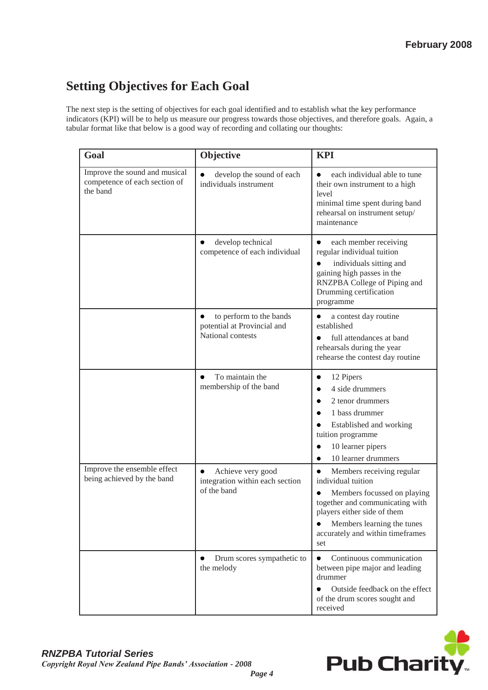## **Setting Objectives for Each Goal**

The next step is the setting of objectives for each goal identified and to establish what the key performance indicators (KPI) will be to help us measure our progress towards those objectives, and therefore goals. Again, a tabular format like that below is a good way of recording and collating our thoughts:

| Goal                                                                       | Objective                                                                        | <b>KPI</b>                                                                                                                                                                                                                     |
|----------------------------------------------------------------------------|----------------------------------------------------------------------------------|--------------------------------------------------------------------------------------------------------------------------------------------------------------------------------------------------------------------------------|
| Improve the sound and musical<br>competence of each section of<br>the band | develop the sound of each<br>individuals instrument                              | each individual able to tune<br>their own instrument to a high<br>level<br>minimal time spent during band<br>rehearsal on instrument setup/<br>maintenance                                                                     |
|                                                                            | develop technical<br>competence of each individual                               | each member receiving<br>regular individual tuition<br>individuals sitting and<br>gaining high passes in the<br>RNZPBA College of Piping and<br>Drumming certification<br>programme                                            |
|                                                                            | to perform to the bands<br>٠<br>potential at Provincial and<br>National contests | a contest day routine<br>٠<br>established<br>full attendances at band<br>rehearsals during the year<br>rehearse the contest day routine                                                                                        |
|                                                                            | To maintain the<br>٠<br>membership of the band                                   | 12 Pipers<br>٠<br>4 side drummers<br>٠<br>2 tenor drummers<br>۰<br>1 bass drummer<br>Established and working<br>tuition programme<br>10 learner pipers<br>٠<br>10 learner drummers<br>٠                                        |
| Improve the ensemble effect<br>being achieved by the band                  | Achieve very good<br>٠<br>integration within each section<br>of the band         | Members receiving regular<br>individual tuition<br>Members focussed on playing<br>٠<br>together and communicating with<br>players either side of them<br>Members learning the tunes<br>accurately and within timeframes<br>set |
|                                                                            | Drum scores sympathetic to<br>٠<br>the melody                                    | Continuous communication<br>between pipe major and leading<br>drummer<br>Outside feedback on the effect<br>of the drum scores sought and<br>received                                                                           |

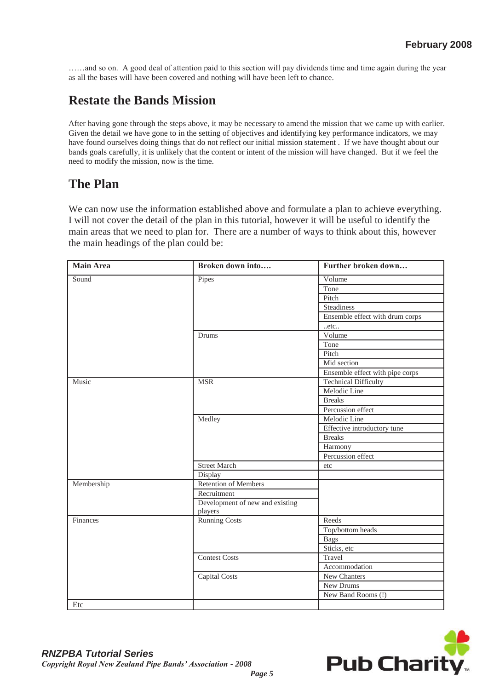……and so on. A good deal of attention paid to this section will pay dividends time and time again during the year as all the bases will have been covered and nothing will have been left to chance.

#### **Restate the Bands Mission**

After having gone through the steps above, it may be necessary to amend the mission that we came up with earlier. Given the detail we have gone to in the setting of objectives and identifying key performance indicators, we may have found ourselves doing things that do not reflect our initial mission statement . If we have thought about our bands goals carefully, it is unlikely that the content or intent of the mission will have changed. But if we feel the need to modify the mission, now is the time.

#### **The Plan**

We can now use the information established above and formulate a plan to achieve everything. I will not cover the detail of the plan in this tutorial, however it will be useful to identify the main areas that we need to plan for. There are a number of ways to think about this, however the main headings of the plan could be:

| <b>Main Area</b> | Broken down into                | Further broken down             |
|------------------|---------------------------------|---------------------------------|
| Sound            | Pipes                           | Volume                          |
|                  |                                 | Tone                            |
|                  |                                 | Pitch                           |
|                  |                                 | Steadiness                      |
|                  |                                 | Ensemble effect with drum corps |
|                  |                                 | .etc.                           |
|                  | Drums                           | Volume                          |
|                  |                                 | Tone                            |
|                  |                                 | Pitch                           |
|                  |                                 | Mid section                     |
|                  |                                 | Ensemble effect with pipe corps |
| Music            | <b>MSR</b>                      | <b>Technical Difficulty</b>     |
|                  |                                 | Melodic Line                    |
|                  |                                 | <b>Breaks</b>                   |
|                  |                                 | Percussion effect               |
|                  | Medley                          | Melodic Line                    |
|                  |                                 | Effective introductory tune     |
|                  |                                 | <b>Breaks</b>                   |
|                  |                                 | Harmony                         |
|                  |                                 | Percussion effect               |
|                  | <b>Street March</b>             | etc                             |
|                  | Display                         |                                 |
| Membership       | <b>Retention of Members</b>     |                                 |
|                  | Recruitment                     |                                 |
|                  | Development of new and existing |                                 |
|                  | players                         |                                 |
| Finances         | Running Costs                   | Reeds                           |
|                  |                                 | Top/bottom heads                |
|                  |                                 | <b>Bags</b>                     |
|                  |                                 | Sticks, etc                     |
|                  | <b>Contest Costs</b>            | Travel                          |
|                  |                                 | Accommodation                   |
|                  | Capital Costs                   | New Chanters                    |
|                  |                                 | New Drums                       |
|                  |                                 | New Band Rooms (!)              |
| Etc              |                                 |                                 |